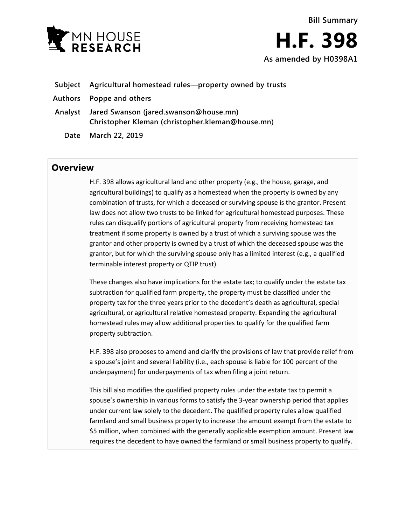

**As amended by H0398A1**

- **Subject Agricultural homestead rules—property owned by trusts**
- **Authors Poppe and others**
- **Analyst Jared Swanson (jared.swanson@house.mn) Christopher Kleman (christopher.kleman@house.mn)**
	- **Date March 22, 2019**

## **Overview**

H.F. 398 allows agricultural land and other property (e.g., the house, garage, and agricultural buildings) to qualify as a homestead when the property is owned by any combination of trusts, for which a deceased or surviving spouse is the grantor. Present law does not allow two trusts to be linked for agricultural homestead purposes. These rules can disqualify portions of agricultural property from receiving homestead tax treatment if some property is owned by a trust of which a surviving spouse was the grantor and other property is owned by a trust of which the deceased spouse was the grantor, but for which the surviving spouse only has a limited interest (e.g., a qualified terminable interest property or QTIP trust).

These changes also have implications for the estate tax; to qualify under the estate tax subtraction for qualified farm property, the property must be classified under the property tax for the three years prior to the decedent's death as agricultural, special agricultural, or agricultural relative homestead property. Expanding the agricultural homestead rules may allow additional properties to qualify for the qualified farm property subtraction.

H.F. 398 also proposes to amend and clarify the provisions of law that provide relief from a spouse's joint and several liability (i.e., each spouse is liable for 100 percent of the underpayment) for underpayments of tax when filing a joint return.

This bill also modifies the qualified property rules under the estate tax to permit a spouse's ownership in various forms to satisfy the 3-year ownership period that applies under current law solely to the decedent. The qualified property rules allow qualified farmland and small business property to increase the amount exempt from the estate to \$5 million, when combined with the generally applicable exemption amount. Present law requires the decedent to have owned the farmland or small business property to qualify.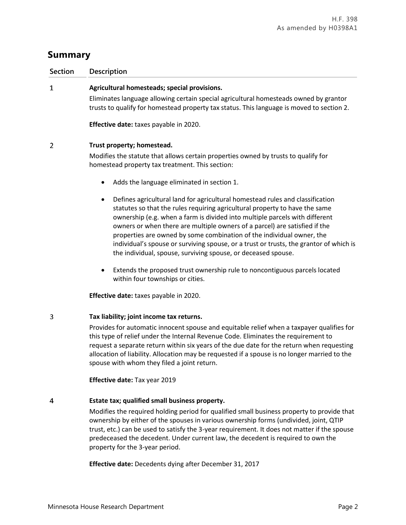# **Summary**

**Section Description**  $\mathbf{1}$ **Agricultural homesteads; special provisions.** Eliminates language allowing certain special agricultural homesteads owned by grantor trusts to qualify for homestead property tax status. This language is moved to section 2. **Effective date:** taxes payable in 2020.  $\overline{2}$ **Trust property; homestead.** Modifies the statute that allows certain properties owned by trusts to qualify for homestead property tax treatment. This section: Adds the language eliminated in section 1. Defines agricultural land for agricultural homestead rules and classification statutes so that the rules requiring agricultural property to have the same ownership (e.g. when a farm is divided into multiple parcels with different owners or when there are multiple owners of a parcel) are satisfied if the properties are owned by some combination of the individual owner, the individual's spouse or surviving spouse, or a trust or trusts, the grantor of which is the individual, spouse, surviving spouse, or deceased spouse.

> Extends the proposed trust ownership rule to noncontiguous parcels located within four townships or cities.

**Effective date:** taxes payable in 2020.

#### 3 **Tax liability; joint income tax returns.**

Provides for automatic innocent spouse and equitable relief when a taxpayer qualifies for this type of relief under the Internal Revenue Code. Eliminates the requirement to request a separate return within six years of the due date for the return when requesting allocation of liability. Allocation may be requested if a spouse is no longer married to the spouse with whom they filed a joint return.

**Effective date:** Tax year 2019

#### $\overline{4}$ **Estate tax; qualified small business property.**

Modifies the required holding period for qualified small business property to provide that ownership by either of the spouses in various ownership forms (undivided, joint, QTIP trust, etc.) can be used to satisfy the 3-year requirement. It does not matter if the spouse predeceased the decedent. Under current law, the decedent is required to own the property for the 3-year period.

**Effective date:** Decedents dying after December 31, 2017